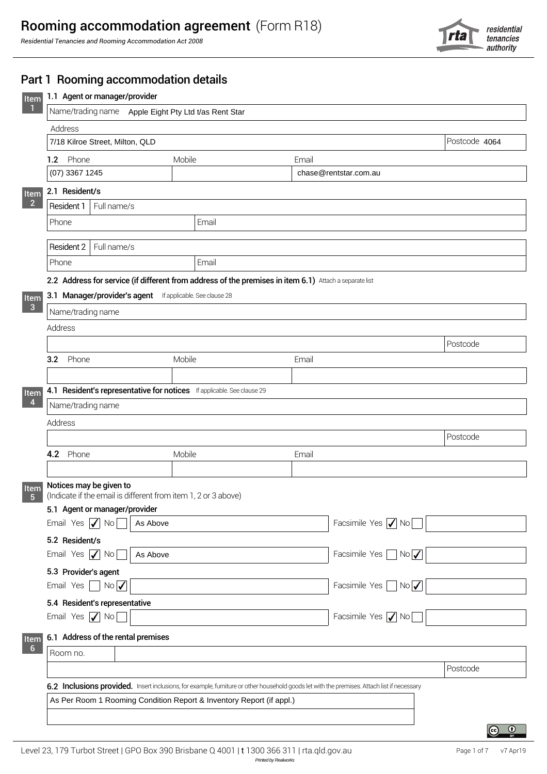

| Name/trading name  Apple Eight Pty Ltd t/as Rent Star             |                                                                                                                                             |                       |                                        |  |  |  |
|-------------------------------------------------------------------|---------------------------------------------------------------------------------------------------------------------------------------------|-----------------------|----------------------------------------|--|--|--|
| Address                                                           |                                                                                                                                             |                       | Postcode 4064                          |  |  |  |
| 7/18 Kilroe Street, Milton, QLD                                   |                                                                                                                                             |                       |                                        |  |  |  |
| 1.2 Phone<br>(07) 3367 1245                                       | Mobile                                                                                                                                      | Email                 |                                        |  |  |  |
|                                                                   |                                                                                                                                             | chase@rentstar.com.au |                                        |  |  |  |
| 2.1 Resident/s                                                    |                                                                                                                                             |                       |                                        |  |  |  |
| Resident 1<br>Full name/s                                         |                                                                                                                                             |                       |                                        |  |  |  |
| Phone                                                             | Email                                                                                                                                       |                       |                                        |  |  |  |
| Resident 2<br>Full name/s                                         |                                                                                                                                             |                       |                                        |  |  |  |
| Phone                                                             | Email                                                                                                                                       |                       |                                        |  |  |  |
|                                                                   | 2.2 Address for service (if different from address of the premises in item 6.1) Attach a separate list                                      |                       |                                        |  |  |  |
| 3.1 Manager/provider's agent If applicable. See clause 28         |                                                                                                                                             |                       |                                        |  |  |  |
| Name/trading name                                                 |                                                                                                                                             |                       |                                        |  |  |  |
| Address                                                           |                                                                                                                                             |                       |                                        |  |  |  |
|                                                                   |                                                                                                                                             |                       | Postcode                               |  |  |  |
| Phone<br>3.2                                                      | Mobile                                                                                                                                      | Email                 |                                        |  |  |  |
|                                                                   |                                                                                                                                             |                       |                                        |  |  |  |
|                                                                   | 4.1 Resident's representative for notices If applicable. See clause 29                                                                      |                       |                                        |  |  |  |
| Name/trading name                                                 |                                                                                                                                             |                       |                                        |  |  |  |
| Address                                                           |                                                                                                                                             |                       |                                        |  |  |  |
|                                                                   |                                                                                                                                             |                       | Postcode                               |  |  |  |
| 4.2 Phone                                                         | Mobile                                                                                                                                      | Email                 |                                        |  |  |  |
|                                                                   |                                                                                                                                             |                       |                                        |  |  |  |
| Notices may be given to                                           | (Indicate if the email is different from item 1, 2 or 3 above)                                                                              |                       |                                        |  |  |  |
|                                                                   |                                                                                                                                             |                       |                                        |  |  |  |
| 5.1 Agent or manager/provider                                     |                                                                                                                                             |                       |                                        |  |  |  |
| Email Yes $\sqrt{\ }$ No                                          | As Above                                                                                                                                    |                       | Facsimile Yes $\sqrt{\phantom{a}}$ No  |  |  |  |
| 5.2 Resident/s                                                    |                                                                                                                                             |                       |                                        |  |  |  |
| Email Yes   No                                                    | As Above                                                                                                                                    | Facsimile Yes         | NoV                                    |  |  |  |
| 5.3 Provider's agent                                              |                                                                                                                                             |                       |                                        |  |  |  |
| $\overline{\phantom{a}}$ No $\overline{\phantom{a}}$<br>Email Yes |                                                                                                                                             |                       | Facsimile Yes $\Box$ No $\overline{V}$ |  |  |  |
| 5.4 Resident's representative                                     |                                                                                                                                             |                       |                                        |  |  |  |
| Email Yes $\sqrt{\ }$ No                                          |                                                                                                                                             |                       | Facsimile Yes / No                     |  |  |  |
|                                                                   |                                                                                                                                             |                       |                                        |  |  |  |
| 6.1 Address of the rental premises                                |                                                                                                                                             |                       |                                        |  |  |  |
| Room no.                                                          |                                                                                                                                             |                       |                                        |  |  |  |
|                                                                   | 6.2 Inclusions provided. Insert inclusions, for example, furniture or other household goods let with the premises. Attach list if necessary |                       | Postcode                               |  |  |  |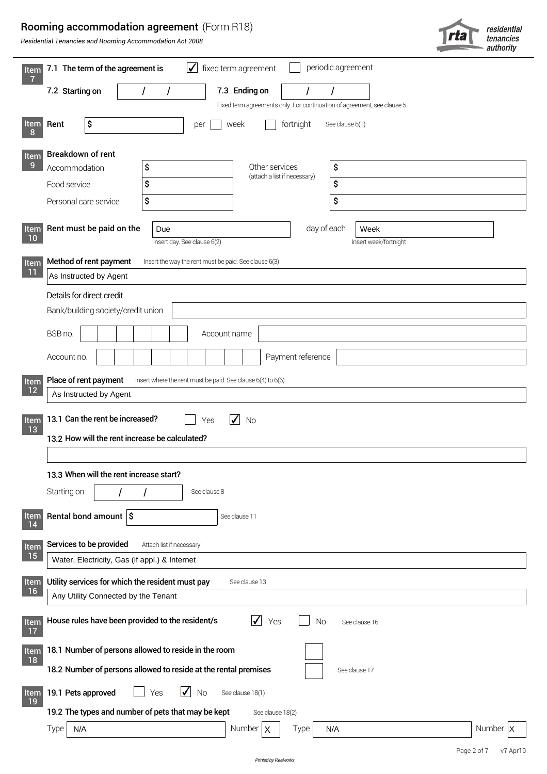# Rooming accommodation agreement (Form R18)

|                                                      | <b>Rooming accommodation agreement</b> (Form R18)<br>Residential Tenancies and Rooming Accommodation Act 2008                                                                                            | 713                                                                                                                                  | residential<br>tenancies<br>authority |  |  |  |  |  |  |
|------------------------------------------------------|----------------------------------------------------------------------------------------------------------------------------------------------------------------------------------------------------------|--------------------------------------------------------------------------------------------------------------------------------------|---------------------------------------|--|--|--|--|--|--|
| Item                                                 | 7.1 The term of the agreement is                                                                                                                                                                         | periodic agreement<br>$\blacktriangledown$<br>fixed term agreement                                                                   |                                       |  |  |  |  |  |  |
| $\overline{7}$                                       | 7.2 Starting on                                                                                                                                                                                          | 7.3 Ending on<br>I<br>Fixed term agreements only. For continuation of agreement, see clause 5                                        |                                       |  |  |  |  |  |  |
| <b>Item</b>                                          | \$<br>Rent                                                                                                                                                                                               | fortnight<br>week<br>See clause 6(1)<br>per                                                                                          |                                       |  |  |  |  |  |  |
| Item<br>$\overline{9}$                               | Breakdown of rent<br>\$<br>Accommodation<br>\$<br>Food service<br>\$<br>Personal care service                                                                                                            | \$<br>Other services<br>(attach a list if necessary)<br>\$<br>\$                                                                     |                                       |  |  |  |  |  |  |
| Item<br>10<br>Item<br>11                             | Rent must be paid on the<br>Due<br>Method of rent payment<br>As Instructed by Agent                                                                                                                      | day of each<br>Week<br>Insert day. See clause 6(2)<br>Insert week/fortnight<br>Insert the way the rent must be paid. See clause 6(3) |                                       |  |  |  |  |  |  |
|                                                      | Details for direct credit<br>Bank/building society/credit union                                                                                                                                          |                                                                                                                                      |                                       |  |  |  |  |  |  |
|                                                      | BSB no.<br>Account no.                                                                                                                                                                                   | Account name<br>Payment reference                                                                                                    |                                       |  |  |  |  |  |  |
| Item                                                 | Place of rent payment                                                                                                                                                                                    | Insert where the rent must be paid. See clause 6(4) to 6(6)                                                                          |                                       |  |  |  |  |  |  |
| $12$<br>Item<br>13                                   | As Instructed by Agent<br>13.1 Can the rent be increased?<br>No<br>Yes<br>13.2 How will the rent increase be calculated?<br>13.3 When will the rent increase start?<br>Starting on<br>See clause 8       |                                                                                                                                      |                                       |  |  |  |  |  |  |
| <b>Item</b><br>14                                    | Rental bond amount $\frac{1}{5}$                                                                                                                                                                         | See clause 11                                                                                                                        |                                       |  |  |  |  |  |  |
| Item<br>15<br><b>Item</b><br>16                      | Services to be provided<br>Attach list if necessary<br>Water, Electricity, Gas (if appl.) & Internet<br>Utility services for which the resident must pay<br>Any Utility Connected by the Tenant          | See clause 13                                                                                                                        |                                       |  |  |  |  |  |  |
| <b>Item</b><br>17<br>Item<br>18<br><b>Item</b><br>19 | House rules have been provided to the resident/s<br>18.1 Number of persons allowed to reside in the room<br>18.2 Number of persons allowed to reside at the rental premises<br>19.1 Pets approved<br>Yes | $\checkmark$<br>Yes<br><b>No</b><br>See clause 16<br>See clause 17<br><b>No</b><br>See clause 18(1)                                  |                                       |  |  |  |  |  |  |
|                                                      | 19.2 The types and number of pets that may be kept<br><b>Type</b><br>N/A                                                                                                                                 | See clause 18(2)<br>Number $\mathbf{x}$<br>Type<br>N/A                                                                               | Number   X                            |  |  |  |  |  |  |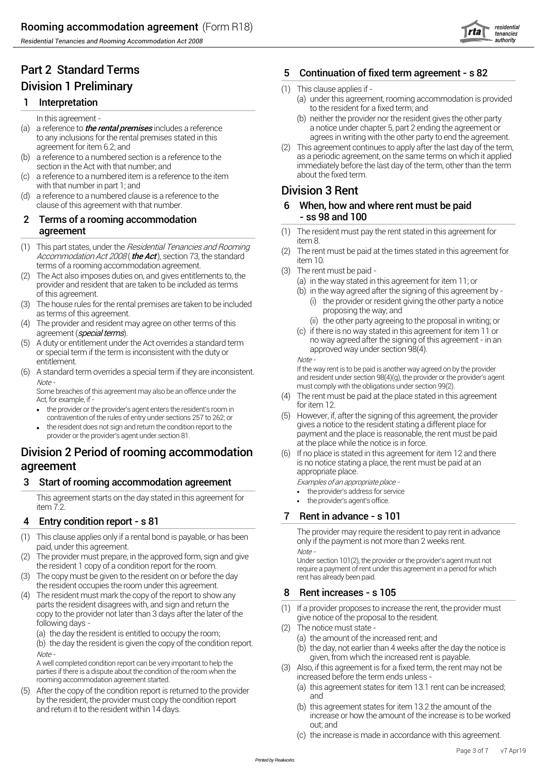# Part 2 Standard Terms Division 1 Preliminary

## **1** Interpretation  $\qquad \qquad \text{(a)}$

- agreement for item 6.2; and
- a reference to a numbered section is a reference to the
- (c) a reference to a numbered item is a reference to the item about the fixed term.
- with that number in part 1; and  $\frac{1}{2}$  areference to the  $\frac{1}{2}$   $\frac{1}{2}$   $\frac{1}{2}$   $\frac{1}{2}$   $\frac{1}{2}$   $\frac{1}{2}$   $\frac{1}{2}$   $\frac{1}{2}$   $\frac{1}{2}$   $\frac{1}{2}$   $\frac{1}{2}$   $\frac{1}{2}$   $\frac{1}{2}$   $\frac{1}{2}$   $\frac{1}{2}$   $\frac{1}{2}$  (d) clause of this agreement with that number. 6

#### 2 Terms of a rooming accommodation - ss 98 and 100 \_\_\_ agreement

- (1) This part states, under the *Residential Tenancies and Rooming*  $\overline{(\cdot)}$  item 8. This part states, ander the *Residential Tenancies and Hoorring* (2) The rem<br>Accommodation Act 2008 (**the Act**), section 73, the standard item 10 terms of a rooming accommodation agreement.
- (2) The Act also imposes duties on, and gives entitlements to, the provider and resident that are taken to be included as terms of this agreement.
- (3) The house rules for the rental premises are taken to be included (3) The provider or resident giving as terms of this agreement.
- (4) The provider and resident may agree on other terms of this
- entitlement.<br>A standard term overrides a special term if they are inconsistent of the way rent is to be paid is another way agreed on by the provider A duty or entitlement under the Act overrides a standard term
- 

Some breaches of this agreement may also be an offence under the<br>Act, for example, if -<br>the president president property actors the president's resemble.

- for item 12.<br>• the provider or the provider's agent enters the resident's room in
- the resident does not sign and return the condition report to the

# Division 2 Period of rooming accommodation  $(6)$

### 3 Start of rooming accommodation agreement Examples of an appropriate place -

This agreement starts on the day stated in this agreement for **the provider's address for service**<br>This agreement starts on the day stated in this agreement for item 7.2.<sup>7</sup> Entry condition report - s 81

#### 4

- (1) This clause applies only if a rental bond is payable, or has been  $\frac{m}{\pi}$  and if the payment is not more than 2 weeks rent.
- The provider must prepare, in the approved form, sign and give
- (3) The copy must be given to the resident on or before the day example on the salready been paid. the resident occupies the room under this agreement.
- (4) The resident must mark the copy of the report to show any  $\begin{array}{cc} 8 & F \end{array}$ parts the resident disagrees with, and sign and return the parts the resident disagrees with, and sign and return the copy to the proposes to increase the rent,<br>copy to the provider not later than 3 days after the later of the state of the proposal to the resident.<br>following days

(a) the day the resident is entitled to occupy the room;

(b) the day the resident is given the copy of the condition report. Note -<br>A well completed condition report can be very important to help the and the increased rent is payable.

parties if there is a dispute about the condition of the room when the parties in there is a dispute about the condition of the room when the term ends unless - rooming accommodation agreement started.

(5) After the copy of the condition report is returned to the provider (5) After the copy of the condition report is returned to the provider by the resident, the provider must copy the condition report and return it to the resident within 14 days.

# Continuation of fixed term agreement - s 82

#### (1) This clause applies if -

- to the resident for a fixed term; and (a) under this agreement, rooming accommodation is provided
- In this agreement -<br>
In this agreement -<br>
a notice under chapter 5, part 2 ending the agreement or<br>
a notice under chapter 5, part 2 ending the agreement or (a) a reference to **the rental premises** includes a reference a notice under chapter 5, part 2 ending the agreement or to any inclusions for the rental premises stated in this agrees in writing with the other party to end the agreement. (b) neither the provider nor the resident gives the other party
	- a reference to a numbered section is a reference to the and the same terms on which it applied section in the Act with that number; and same term in the Act with that number; and same term in the term in the term in the te immediately before the last day of the term, other than the term about the fixed term. This agreement continues to apply after the last day of the term,

- When, how and where rent must be paid
- The resident must pay the rent stated in this agreement for
- The rent must be paid at the times stated in this agreement for
- The rent must be paid
	- (a) in the way stated in this agreement for item  $11$ ; or
	- (i) the provider or resident giving the other party a notice (b) in the way agreed after the signing of this agreement by -
		- (ii) the other party agreeing to the proposal in writing; or
- agreement (*special terms*). agreement (special terms). The standard term and term and term in an (5) a duty or entitlement under the Act overrides a standard term in an inconsistent with the duty or special term if the te (c) if there is no way stated in this agreement for item 11 or no way agreed after the signing of this agreement - in an

(6) A standard term overrides a special term if they are inconsistent.<br>Note -<br>Some breaches of this agreement may also be an offence under the<br>Some breaches of this agreement may also be an offence under the<br>Some breaches

- The rent must be paid at the place stated in this agreement
- contravention of the rules of entry under sections 257 to 262; or (5) However, if, after the signing of this agreement, the provi<br>gives a notice to the resident stating a different place for the resident stating a differen provider or the provider's agent under section 81.<br>
payment and the place is reasonable, the rent must be paid<br>
at the place while the notice is in force. (5) However, if, after the signing of this agreement, the provider
- **agreement a**<br>appropriate place, the rent must be paid at an appropriate place. If no place is stated in this agreement for item 12 and there

- *•*
- the provider's agent's office. *•*

### 7 Rent in advance - s 101

The provider may require the resident to pay rent in advance<br>only if the payment is not more than 2 weeks rent.

(2) The provider must prepare, in the approved form, sign and give<br>
(3) The provider must prepare, in the approved form, sign and give<br>
(3) The copy must be given to the resident on or before the day<br>
(3) The copy must be

### Rent increases - s 105

- If a provider proposes to increase the rent, the provider must
- (2) The notice must state -
	- (a) the amount of the increased rent; and
	- (b) the day, not earlier than 4 weeks after the day the notice is
- Also, if this agreement is for a fixed term, the rent may not be
	- (a) this agreement states for item 13.1 rent can be increased;
	- increase or how the amount of the increase is to be worked out; and (b) this agreement states for item 13.2 the amount of the
	- (c) the increase is made in accordance with this agreement.

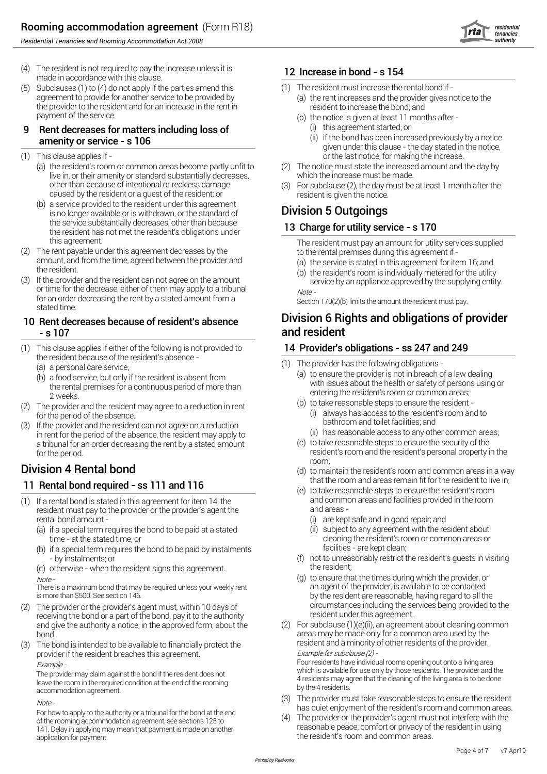

- (4) The resident is not required to pay the increase unless it is  $12 \ln \frac{1}{2}$ made in accordance with this clause.
- (5) Subclauses (1) to (4) do not apply if the parties amend this  $(1)$ agreement to provide for another service to be provided by (a) the rent increases and the provide<br>the provider to the resident and for an increase in the rent in resident to increase the bond: and the provider to the resident and for an increase in the rent in payment of the service.

#### (i) 9 Rent decreases for matters including loss of amenity or service - s 106

- $(1)$  This clause applies if -
	- (a) the resident's room or common areas become partly unfit to  $\qquad \qquad (2)$ live in, or their amenity or standard substantially decreases, which the increase must be made. other than because of intentional or reckless damage (3) caused by the resident or a guest of the resident; or resident is given the notice.
	- (b) a service provided to the resident under this agreement is service provided to the resident drider this agreement<br>is no longer available or is withdrawn, or the standard of **Division 5 Outgoings** the service substantially decreases, other than because the resident has not met the resident's obligations under
- (2) The rent payable under this agreement decreases by the rental premises during this agreement if amount, and from the time, agreed between the provider and the resident.
- the resident. (b) If the provider and the resident can not agree on the amount If the provider and the resident can not agree on the amount  $\frac{1}{\sqrt{2}}$  service by an appliance approved by the supplying entity.<br>or time for the decrease, either of them may apply to a tribunal  $\frac{1}{\sqrt{2}}$ for an order decreasing the rent by a stated amount from a section 170(2)(b) limits the amount the resident must pay.<br>Stated time

#### - s 107 10 Rent decreases because of resident's absence

- (1) This clause applies if either of the following is not provided to  $14 \text{ Pr}$ the resident because of the resident's absence - (a) a personal care service;
	- the rental premises for a continuous period of more than entering the resident's room or common areas;<br>2 weeks. (b) to take reasonable steps to ensure the resident -<br>2 provider and the resident may agree to a reduction in rent (b) a food service, but only if the resident is absent from
- (2) The provider and the resident may agree to a reduction in rent
- in rent for the period of the absence, the resident may apply to a tribunal for an order decreasing the rent by a stated amount

# that the room and areas remain fit for the resident to live in;<br>(a) to take reasonable steps to ensure the resident's room

- (1) If a rental bond is stated in this agreement for item 14, the same and common areas and facilities provided in the room resident must pay to the provider or the provider's agent the and areas rental bond amount -
	- (a) if a special term requires the bond to be paid at a stated  $\qquad \qquad \text{(ii)} \ \ \text{s}$
	- (b) if a special term requires the bond to be paid by instalments facilities are kept clean; - by instalments; or (f) not to unreal<br>otherwise - when the resident signs this agreement (f) the resident;

the resident; (c) otherwise - when the resident signs this agreement.  $Note$  -  $(g)$  terms of  $(g)$  terms of  $(g)$  terms of  $(g)$  terms of  $(g)$  terms of  $(g)$  terms of  $(g)$  terms of  $(g)$  terms of  $(g)$  terms of  $(g)$  terms of  $(g)$  terms of  $(g)$  terms of  $(g)$  terms of  $(g)$  terms of  $(g)$  terms of  $(g)$ 

There is a maximum bond that may be required unless your weekly rent and agent of the provider, is available to be contacted<br>by the resident are reasonable, having regard to all the street of the provider, is available to

- (2) The provider or the provider's agent must, within 10 days of circumstances including the services being provided to the receiving the bond or a part of the bond, pay it to the authority resident under this agreement. and give the authority a notice, in the approved form, about the (2)
- provider if the resident breaches this agreement.<br>
Four residents have individual rooms opening out onto a living area

leave the room in the required condition at the end of the rooming accommodation agreement.

141. Delay in applying may mean that payment is made on another application for payment.

#### 12 Increase in bond - s 154

- The resident must increase the rental bond if
	- (a) the rent increases and the provider gives notice to the
	- (b) the notice is given at least  $11$  months after -
		- (i) this agreement started; or
		- given under this clause the day stated in the notice, or the last notice, for making the increase. (ii) if the bond has been increased previously by a notice
- The notice must state the increased amount and the day by
- For subclause (2), the day must be at least 1 month after the

### 13 Charge for utility service - s 170

this agreement. The resident must pay an amount for utility services supplied

- (a) the service is stated in this agreement for item  $16$ ; and
- (b) the resident's room is individually metered for the utility

# Division 6 Rights and obligations of provider

### 14 Provider's obligations - ss 247 and 249

- (1) The provider has the following obligations
	- (a) to ensure the provider is not in breach of a law dealingwith issues about the health or safety of persons using or<br>entering the resident's room or common areas;
- for the period of the absence.<br>
(3) If the provider and the resident can not agree on a reduction<br>
(3) If the provider and the resident can not agree on a reduction always has access to the resident's room and to
	- (ii) has reasonable access to any other common areas;
	- for the period.<br>
	For the period.<br>
	resident's room and the resident's personal property in the<br>
	room: (c) to take reasonable steps to ensure the security of the
- **Division 4 Rental bond** (d) to maintain the resident's room and common areas in a way<br>that the room and areas remain fit for the resident to live in: (d) to maintain the resident's room and common areas in a way
	- (e) to take reasonable steps to ensure the resident's room
		- are kept safe and in good repair; and
	- time at the stated time; or<br>
	if a special term requires the bond to be paid by instalments<br>
	facilities are kept clean;<br>
	facilities are kept clean; subject to any agreement with the resident about
		- not to unreasonably restrict the resident's guests in visiting
		- by the resident are reasonable, having regard to all the (q) to ensure that the times during which the provider, or
- bond.<br>The bond is intended to be available to financially protect the resident and a minority of other residents of the provider. resident and a minority of other residents of the provider. (3) The bond is intended to be available to financially protect the For subclause (1)(e)(ii), an agreement about cleaning common

Example -<br>
The provider may claim against the bond if the resident does not<br>
leave the room in the required condition at the end of the rooming<br>
leave the room in the required condition at the end of the rooming<br>
occurred

- (3) Note has quiet enjoyment of the resident's room and common areas. For how to apply to the authority or <sup>a</sup> tribunal for the bond at the end The provider must take reasonable steps to ensure the resident
- of the rooming accommodation agreement, see sections 125 to<br>T41 Delay in applying may mean that payment is made on another reasonable peace, comfort or privacy of the resident in using the resident's room and common areas. The provider or the provider's agent must not interfere with the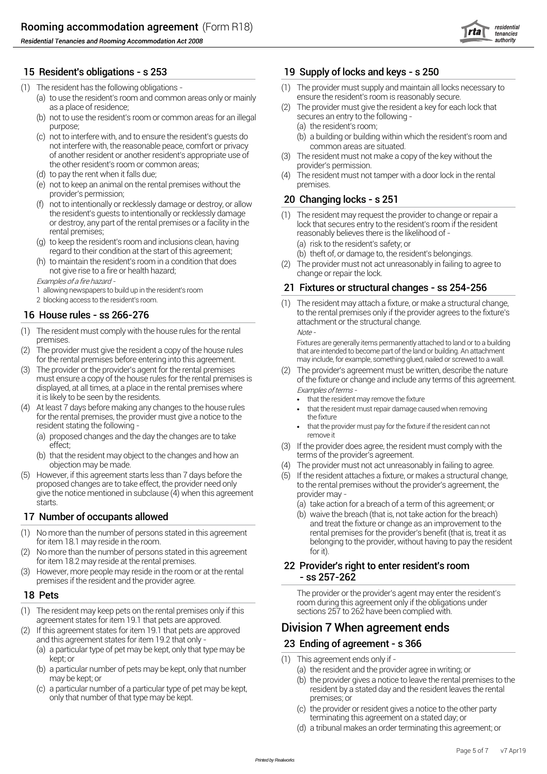#### 15 Resident's obligations - s 253

- (1) The resident has the following obligations
	- (a) to use the resident's room and common areas only or mainly ensure the resident's room is reasonably secure.
	- (b) not to use the resident's room or common areas for an illegal secures an entry to the following purpose; (a) t
	- (c) not to interfere with, and to ensure the resident's guests do  $\qquad \qquad$  (b) a not interfere with, the reasonable peace, comfort or privacy of another resident or another resident's appropriate use of (3) The resident must not<br>the other resident's room or common areas; provider's permission. the other resident's room or common areas;
	- (d) (4) to pay the rent when it falls due;
	- (e) not to keep an animal on the rental premises without the
	- provider's permission; <sup>20</sup> (f) not to intentionally or recklessly damage or destroy, or allow the resident's guests to intentionally or recklessly damage<br>or destroy, any part of the rental premises or a facility in the
	- (g) to keep the resident's room and inclusions clean, having (a) r regard to their condition at the start of this agreement;
	- (h) to maintain the resident's room in a condition that does not give rise to a fire or health hazard;<br>change or repair the lock.

Examples of <sup>a</sup> fire hazard -

- 1 allowing newspapers to build up in the resident's room
- 2 blocking access to the resident's room.

#### 16 House rules - ss 266-276

- (1) The resident must comply with the house rules for the rental  $Note$ -
- (2) The provider must give the resident a copy of the house rules that are intended to become part of the land or building. An attachment for the rental premises before entering into this agreement. for the rental premises before entering into this agreement. The provider must give the resident a copy of the house rules
- (3) (2) The provider or the provider's agent for the rental premises it is likely to be seen by the residents.
- (4) At least 7 days before making any changes to the house rules **. That the resident must repair damage caused when removing** for the rental premises, the provider must give a notice to the the fixture resident stating the following -
	- (a) proposed changes and the day the changes are to take remove it effect; (3)
	- (b) that the resident may object to the changes and how an that the provider's agreement. objection may be made.
- (5) However, if this agreement starts less than 7 days before the  $\qquad \qquad (5)$ proposed changes are to take effect, the provider need only to the rental premises without the provider's agreement, the give the notice mentioned in subclause (4) when this agreement provider may -<br>starts. (a) take action starts. (a) t

#### 17 Number of occupants allowed (b) v

- (1) No more than the number of persons stated in this agreement rental premises for the provider's benefit (that is, treat it as
- (2) No more than the number of persons stated in this agreement for it). for item 18.2 may reside at the rental premises.
- (3) However, more people may reside in the room or at the rental  $\begin{array}{r} \text{S} \rightarrow \text{S} \rightarrow \text{S} \rightarrow \text{S} \rightarrow \text{S} \rightarrow \text{S} \rightarrow \text{S} \rightarrow \text{S} \rightarrow \text{S} \rightarrow \text{S} \rightarrow \text{S} \rightarrow \text{S} \rightarrow \text{S} \rightarrow \text{S} \rightarrow \text{S} \rightarrow \text{S} \rightarrow \text{S} \rightarrow \text{S} \rightarrow \text{S} \rightarrow \text{S} \rightarrow \text{S} \rightarrow \$

#### 18 Pets

- (1) The resident may keep pets on the rental premises only if this sections 257 to 262 have been complied with. agreement states for item 19.1 that pets are approved.
- (2) If this agreement states for item 19.1 that pets are approved **Division 7 When agreement ends** and this agreement states for item 19.2 that only  $\cdot$ 
	- (a) a particular type of pet may be kept, only that type may be kept; or  $(1)$
	- (b) a particular number of pets may be kept, only that number  $\qquad \qquad \text{(a)} \,$  t may be kept; or
	- only that number of that type may be kept. example that the premises; or (c) a particular number of a particular type of pet may be kept,

#### 19 Supply of locks and keys - s 250

- (1) The provider must supply and maintain all locks necessary to
- as a place of residence;<br>
not to use the resident's room or common areas for an illegal secures an entry to the following -The provider must give the resident a key for each lock that
	- (a) the resident's room;
	- common areas are situated. (b) a building or building within which the resident's room and
	- The resident must not make a copy of the key without the
	- premises. The resident must not tamper with a door lock in the rental

#### 20 Changing locks - s 251

- or destroy, any part of the rental premises or a facility in the lock that secures entry to the resident's room if the resident<br>reasonably believes there is the likelihood of reasonably believes there is the likelihood of -(1) The resident may request the provider to change or repair a
	- (a) risk to the resident's safety; or
	- (b) theft of, or damage to, the resident's belongings.
	- (2) The provider must not act unreasonably in failing to agree to

#### Fixtures or structural changes - ss 254-256

to the rental premises only if the provider agrees to the fixture's attachment or the structural change. The resident may attach a fixture, or make a structural change,

premises. Fixtures are generally items permanently attached to land or to <sup>a</sup> building

- must ensure a copy of the house rules for the rental premises is of the fixture or change and include any terms of this agreement.<br>displayed, at all times, at a place in the rental premises where  $\frac{1}{2}$ The provider's agreement must be written, describe the nature
	- *•*
	- *•*
	- that the provider must pay for the fixture if the resident can not *•*
	- (3) If the provider does agree, the resident must comply with the
	- The provider must not act unreasonably in failing to agree.
	- (5) If the resident attaches a fixture, or makes a structural change,
		- (a) take action for a breach of a term of this agreement; or
- and treat the fixture or change as an improvement to the for item 18.1 may reside in the room. belonging to the provider, without having to pay the resident (b) waive the breach (that is, not take action for the breach)

# 22 Provider's right to enter resident's room

The provider or the provider's agent may enter the resident's room during this agreement only if the obligations under<br>sections 257 to 262 have been complied with.

# Ending of agreement - s 366

- This agreement ends only if
	- (a) the resident and the provider agree in writing; or
	- resident by a stated day and the resident leaves the rental (b) the provider gives a notice to leave the rental premises to the
	- (c) the provider or resident gives a notice to the other party terminating this agreement on a stated day; or
	- (d) a tribunal makes an order terminating this agreement; or

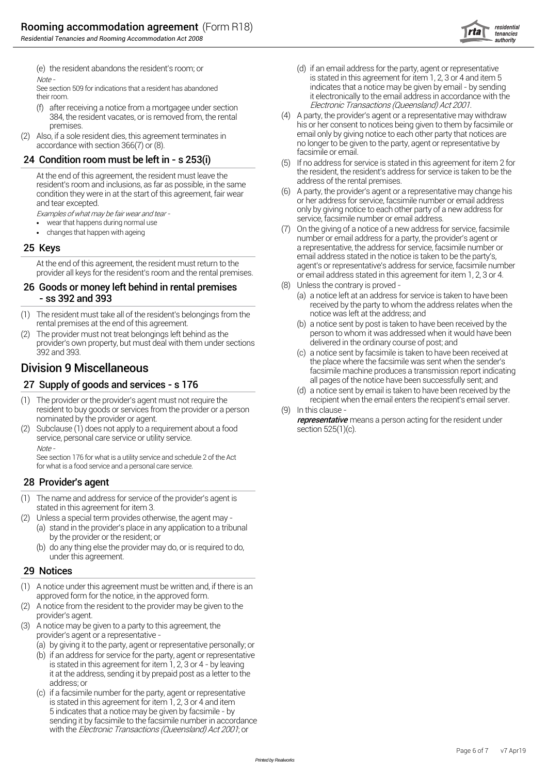



(e) the resident abandons the resident's room; or  $\qquad \qquad \text{(d)}$  if

- Electronic Transactions (Queensland) Act 2001. (f) after receiving a notice from a mortgagee under section 384, the resident vacates, or is removed from, the rental
- 

### 24 Condition room must be left in - s 253(i)

resident's room and inclusions, as far as possible, in the same

- *•*
- (7) changes that happen with ageing *•*

#### 25 Keys

#### 26 Goods or money left behind in rental premises  $^{(8)}$ (a) - ss 392 and 393

- (1) The resident must take all of the resident's belongings from the same that include was left at the address; and
- (2) The provider must not treat belongings left behind as the **come contract on the person to whom** it was addressed when it would have been to whom it was addressed when it would have been provider's own property, but must deal with them under sections delivered in the ordinary course of post; and

## all pages of the notice have been successfully sent; and<br>(d) a paties cent by creating taken to bave been successfully sent; and

- (1) The provider or the provider's agent must not require the same state of recipient when the email enters the recipient's email server. resident to buy goods or services from the provider or a person nominated by the provider or agent.
- (2) Subclause (1) does not apply to a requirement about a food section 525(1)(c). service, personal care service or utility service. Note -

See section 176 for what is a utility service and schedule 2 of the Act for what is a food service and a personal care service.

#### 28 Provider's agent

- (1) The name and address for service of the provider's agent is stated in this agreement for item 3.
- (2) Unless a special term provides otherwise, the agent may
	- (a) stand in the provider's place in any application to a tribunal by the provider or the resident; or
		- (b) do any thing else the provider may do, or is required to do, under this agreement.

#### 29 Notices

- (1) approved form for the notice, in the approved form. A notice under this agreement must be written and, if there is an
- (2) provider's agent. A notice from the resident to the provider may be given to the
- (3) provider's agent or a representative - A notice may be given to a party to this agreement, the
	- (a) by giving it to the party, agent or representative personally; or
	- (b) if an address for service for the party, agent or representative is stated in this agreement for item 1, 2, 3 or 4 - by leaving it at the address, sending it by prepaid post as a letter to the address; or
	- (c) if a facsimile number for the party, agent or representative is stated in this agreement for item 1, 2, 3 or 4 and item 5 indicates that a notice may be given by facsimile - by sending it by facsimile to the facsimile number in accordance with the Electronic Transactions (Queensland) Act 2001; or
- $\sim$  is stated in this agreement for item 1, 2, 3 or 4 and item 5 See section 509 for indications that a resident has abandoned indicates that a notice may be given by email - by sending their room.<br>
their room.<br>
(f) after receiving a notice from a mortgage under section<br>
(f) after receiving a notice from a mortgage under section<br>
Electronic Transactions (Queensland) Act 2001. (d) if an email address for the party, agent or representative
- premises.<br>
his or her consent to notices being given to them by facsimile or<br>
o if a sole resident dies this agreement terminates in email only by giving notice to each other party that notices are (2) Also, if a sole resident dies, this agreement terminates in email only by giving notice to each other party that notices are accordance with section 366(7) or (8).<br>24 **Condition room must be left in - s 253(i)** and this agreement for item 2 for email.<br>24 **Condition room must be left in - s 253(i)** and this agreement for item 2 for (5) or the add A party, the provider's agent or a representative may withdraw
	- At the end of this agreement, the resident must leave the the the resident, the resident's address for service is taken to be the recident's resident's address for service is taken to be the recident's resident's resident'
	- condition they were in at the start of this agreement, fair wear (6) A party, the provider's agent or a representative may change h<br>or her address for service, facsimile number or email address and tear excepted.<br>
	Examples of what may be fair wear and tear -<br>
	examples of what may be fair wear and tear -<br>
	Service, facsimile number or email address.<br>
	Service, facsimile number or email address. A party, the provider's agent or a representative may change his
	- number or email address for a party, the provider's agent or a representative, the address for service, facsimile number or<br>email address stated in the notice is taken to be the party's, At the end of this agreement, the resident must return to the agent's or representative's address for service, facsimile number<br>provider all keys for the resident's room and the rental premises.<br>or email address stated in or email address stated in this agreement for item 1, 2, 3 or 4. On the giving of a notice of a new address for service, facsimile
		- Unless the contrary is proved
			- received by the party to whom the address relates when the (a) a notice left at an address for service is taken to have been
	- rental premises at the end of this agreement.<br>The provider must not treat belongings left behind as the street of the street person to whom it was addressed when it would have been (b) a notice sent by post is taken to have been received by the
- 392 and 393.<br>
(c) a notice sent by facsimile is taken to have been received a the place where the facsimile was sent when the sender's **Division 9 Miscellaneous** Division 9 Miscellaneous **Exercía e alguna transmission report indicating** a notice sent by facsimile is taken to have been received at
	- (d) a notice sent by email is taken to have been received by the

 $(9)$  In this clause -

representative means a person acting for the resident under